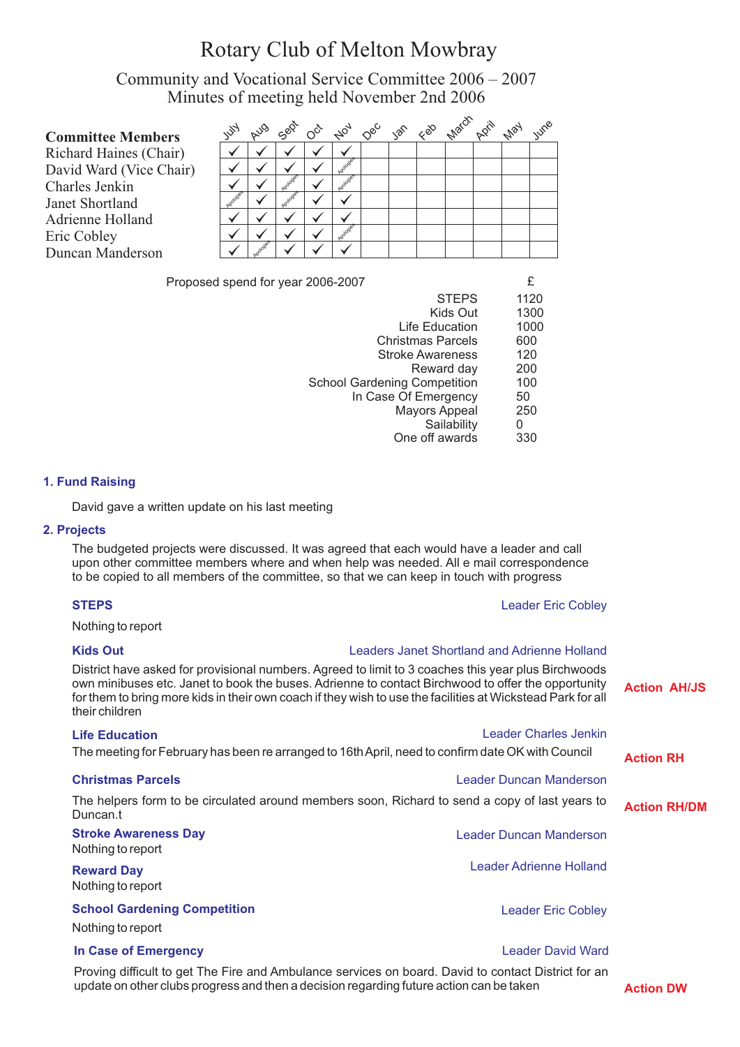# Rotary Club of Melton Mowbray

Community and Vocational Service Committee 2006 – 2007 Minutes of meeting held November 2nd 2006

| <b>Committee Members</b> | $\mathscr{C}_{\mathcal{A}}$ | <b>AUG</b> | Sept | $\sigma^{\zeta}$ |  |  | Not dec yen ceo watch park | May | <b>WR</b> e |
|--------------------------|-----------------------------|------------|------|------------------|--|--|----------------------------|-----|-------------|
| Richard Haines (Chair)   |                             |            |      |                  |  |  |                            |     |             |
| David Ward (Vice Chair)  |                             |            |      |                  |  |  |                            |     |             |
| Charles Jenkin           |                             |            |      |                  |  |  |                            |     |             |
| Janet Shortland          | drogles                     |            |      |                  |  |  |                            |     |             |
| Adrienne Holland         |                             |            |      |                  |  |  |                            |     |             |
| Eric Cobley              |                             |            |      |                  |  |  |                            |     |             |
| Duncan Manderson         |                             |            |      |                  |  |  |                            |     |             |
|                          |                             |            |      |                  |  |  |                            |     |             |

Proposed spend for year 2006-2007

| <b>STEPS</b>                        | 1120 |
|-------------------------------------|------|
| Kids Out                            | 1300 |
| Life Education                      | 1000 |
| <b>Christmas Parcels</b>            | 600  |
| <b>Stroke Awareness</b>             | 120  |
| Reward day                          | 200  |
| <b>School Gardening Competition</b> | 100  |
| In Case Of Emergency                | 50   |
| <b>Mayors Appeal</b>                | 250  |
| Sailability                         | O    |
| One off awards                      |      |
|                                     |      |

#### **1. Fund Raising**

David gave a written update on his last meeting

#### **2. Projects**

The budgeted projects were discussed. It was agreed that each would have a leader and call upon other committee members where and when help was needed. All e mail correspondence to be copied to all members of the committee, so that we can keep in touch with progress

#### **STEPS** Leader Eric Cobley

Nothing to report

# **Kids Out** Leaders Janet Shortland and Adrienne Holland

| District have asked for provisional numbers. Agreed to limit to 3 coaches this year plus Birchwoods<br>own minibuses etc. Janet to book the buses. Adrienne to contact Birchwood to offer the opportunity<br>for them to bring more kids in their own coach if they wish to use the facilities at Wickstead Park for all<br>their children |                              | <b>Action AH/JS</b> |
|--------------------------------------------------------------------------------------------------------------------------------------------------------------------------------------------------------------------------------------------------------------------------------------------------------------------------------------------|------------------------------|---------------------|
| <b>Life Education</b>                                                                                                                                                                                                                                                                                                                      | <b>Leader Charles Jenkin</b> |                     |
| The meeting for February has been re arranged to 16th April, need to confirm date OK with Council                                                                                                                                                                                                                                          |                              | <b>Action RH</b>    |
| <b>Christmas Parcels</b>                                                                                                                                                                                                                                                                                                                   | Leader Duncan Manderson      |                     |
| The helpers form to be circulated around members soon, Richard to send a copy of last years to<br>Duncan.t                                                                                                                                                                                                                                 |                              | <b>Action RH/DM</b> |
| <b>Stroke Awareness Day</b><br>Nothing to report                                                                                                                                                                                                                                                                                           | Leader Duncan Manderson      |                     |
| <b>Reward Day</b><br>Nothing to report                                                                                                                                                                                                                                                                                                     | Leader Adrienne Holland      |                     |
| <b>School Gardening Competition</b><br>Nothing to report                                                                                                                                                                                                                                                                                   | <b>Leader Eric Cobley</b>    |                     |
| In Case of Emergency                                                                                                                                                                                                                                                                                                                       | <b>Leader David Ward</b>     |                     |
| Described difficult to get The Fire and Apple Japan comince an begand. David to contact District for an                                                                                                                                                                                                                                    |                              |                     |

Proving difficult to get The Fire and Ambulance services on board. David to contact District for an update on other clubs progress and then a decision regarding future action can be taken **Action DW**